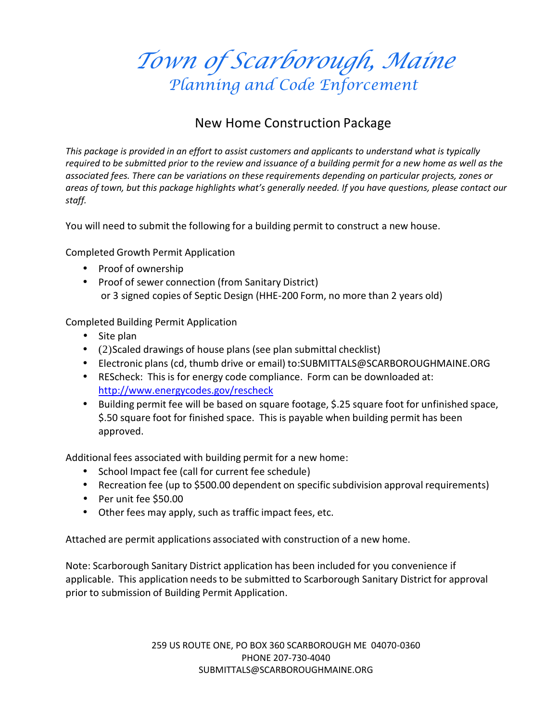*Town of Scarborough, Maine* Planning and Code Enforcement

### New Home Construction Package

*This package is provided in an effort to assist customers and applicants to understand what is typically required to be submitted prior to the review and issuance of a building permit for a new home as well as the associated fees. There can be variations on these requirements depending on particular projects, zones or areas of town, but this package highlights what's generally needed. If you have questions, please contact our staff.*

You will need to submit the following for a building permit to construct a new house.

Completed Growth Permit Application

- Proof of ownership
- Proof of sewer connection (from Sanitary District) or 3 signed copies of Septic Design (HHE-200 Form, no more than 2 years old)

Completed Building Permit Application

- Site plan
- (2)Scaled drawings of house plans (see plan submittal checklist)
- Electronic plans (cd, thumb drive oremail) to:SUBMITTALS@SCARBOROUGHMAINE.ORG
- REScheck: This is for energy code compliance. Form can be downloaded at: http://www.energycodes.gov/rescheck
- Building permit fee will be based on square footage, \$.25 square foot for unfinished space, \$.50 square foot for finished space. This is payable when building permit has been approved.

Additional fees associated with building permit for a new home:

- School Impact fee (call for current fee schedule)
- Recreation fee (up to \$500.00 dependent on specific subdivision approval requirements)
- Per unit fee \$50.00
- Other fees may apply, such as traffic impact fees, etc.

Attached are permit applications associated with construction of a new home.

Note: Scarborough Sanitary District application has been included for you convenience if applicable. This application needs to be submitted to Scarborough Sanitary District for approval prior to submission of Building Permit Application.

> 259 US ROUTE ONE, PO BOX 360 SCARBOROUGH ME 04070-0360 PHONE 207-730-4040 SUBMITTALS@SCARBOROUGHMAINE.ORG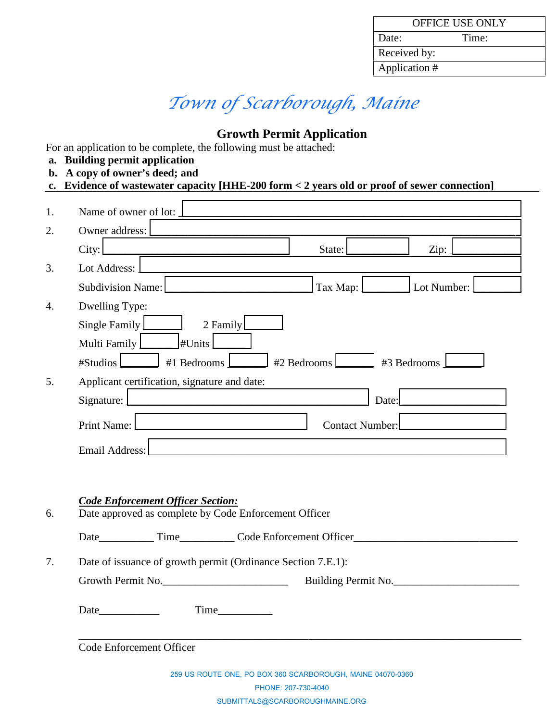| <b>OFFICE USE ONLY</b> |       |  |  |  |  |
|------------------------|-------|--|--|--|--|
| Date:                  | Time: |  |  |  |  |
| Received by:           |       |  |  |  |  |
| Application #          |       |  |  |  |  |

# *Town of Scarborough, Maine*

## **Growth Permit Application**

For an application to be complete, the following must be attached:

- **a. Building permit application**
- **b. A copy of owner's deed; and**

|  | c. Evidence of wastewater capacity [HHE-200 form $<$ 2 years old or proof of sewer connection] |  |  |  |  |
|--|------------------------------------------------------------------------------------------------|--|--|--|--|
|--|------------------------------------------------------------------------------------------------|--|--|--|--|

|    |                                                                                                        |             | <u> 1989 - John Stein, Amerikaansk politiker († 1908)</u> |  |  |  |
|----|--------------------------------------------------------------------------------------------------------|-------------|-----------------------------------------------------------|--|--|--|
|    | Owner address:                                                                                         |             |                                                           |  |  |  |
|    | City:<br><u> 1980 - Jan Barnett, fransk politik (d. 1980)</u>                                          | State:      | Zip:                                                      |  |  |  |
|    | Lot Address:<br><u> 1980 - Johann Barn, mars ann an Catharin ann an t-</u>                             |             |                                                           |  |  |  |
|    | Subdivision Name:                                                                                      | Tax Map: [  | Lot Number:                                               |  |  |  |
|    | <b>Dwelling Type:</b>                                                                                  |             |                                                           |  |  |  |
|    | Single Family<br>2 Family                                                                              |             |                                                           |  |  |  |
|    | Multi Family<br>HUnits                                                                                 |             |                                                           |  |  |  |
|    | #Studios<br>#1 Bedrooms                                                                                | #2 Bedrooms | #3 Bedrooms                                               |  |  |  |
| 5. | Applicant certification, signature and date:                                                           |             |                                                           |  |  |  |
|    | Signature:                                                                                             |             | Date:                                                     |  |  |  |
|    | <b>Print Name:</b><br>Contact Number:<br><u> 1989 - Johann John Stone, skrivatski politik († 1938)</u> |             |                                                           |  |  |  |
|    | Email Address:                                                                                         |             |                                                           |  |  |  |
|    |                                                                                                        |             |                                                           |  |  |  |
|    |                                                                                                        |             |                                                           |  |  |  |
|    |                                                                                                        |             |                                                           |  |  |  |
|    | <b>Code Enforcement Officer Section:</b><br>Date approved as complete by Code Enforcement Officer      |             |                                                           |  |  |  |
|    |                                                                                                        |             |                                                           |  |  |  |
|    |                                                                                                        |             |                                                           |  |  |  |
|    | Date of issuance of growth permit (Ordinance Section 7.E.1):                                           |             |                                                           |  |  |  |
|    | Growth Permit No.                                                                                      |             | Building Permit No.                                       |  |  |  |
|    | Time<br>Date                                                                                           |             |                                                           |  |  |  |

SUBMITTALS@SCARBOROUGHMAINE.ORG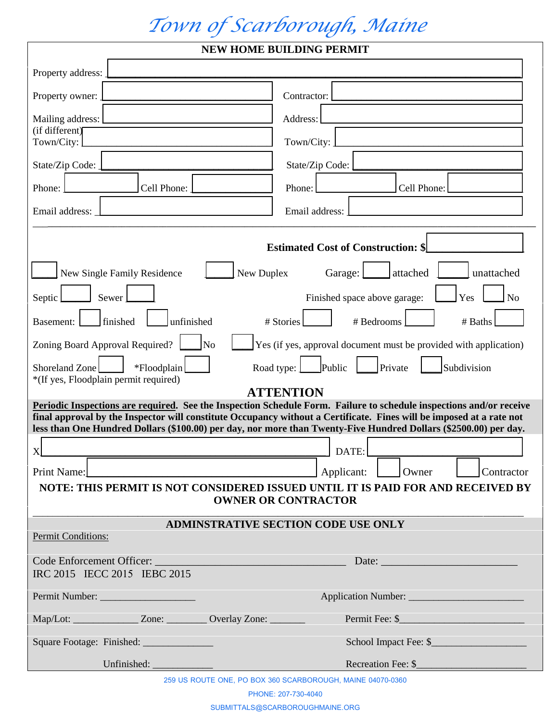# *Town of Scarborough, Maine*

|                                                                     | <b>NEW HOME BUILDING PERMIT</b>                                                                                                                                                                                                                                                                                                                                 |
|---------------------------------------------------------------------|-----------------------------------------------------------------------------------------------------------------------------------------------------------------------------------------------------------------------------------------------------------------------------------------------------------------------------------------------------------------|
| Property address:                                                   |                                                                                                                                                                                                                                                                                                                                                                 |
| Property owner:                                                     | Contractor:                                                                                                                                                                                                                                                                                                                                                     |
| Mailing address:                                                    | Address:                                                                                                                                                                                                                                                                                                                                                        |
| (if different)<br>Town/City:                                        | Town/City:                                                                                                                                                                                                                                                                                                                                                      |
| State/Zip Code:                                                     | State/Zip Code:                                                                                                                                                                                                                                                                                                                                                 |
| Cell Phone:<br>Phone:                                               | Cell Phone:<br>Phone:                                                                                                                                                                                                                                                                                                                                           |
| Email address:                                                      | Email address:                                                                                                                                                                                                                                                                                                                                                  |
|                                                                     |                                                                                                                                                                                                                                                                                                                                                                 |
|                                                                     | <b>Estimated Cost of Construction: \$</b>                                                                                                                                                                                                                                                                                                                       |
| New Duplex<br>New Single Family Residence                           | attached<br>Garage:<br>unattached                                                                                                                                                                                                                                                                                                                               |
| Sewer<br>Septic                                                     | N <sub>o</sub><br>Yes<br>Finished space above garage:                                                                                                                                                                                                                                                                                                           |
| finished<br>unfinished<br>Basement:                                 | # Stories<br># Bedrooms<br># Baths                                                                                                                                                                                                                                                                                                                              |
| Zoning Board Approval Required?<br>N <sub>o</sub>                   | Yes (if yes, approval document must be provided with application)                                                                                                                                                                                                                                                                                               |
| Shoreland Zone<br>*Floodplain                                       | Road type: ]<br>Public<br>Private<br>Subdivision                                                                                                                                                                                                                                                                                                                |
| *(If yes, Floodplain permit required)                               | <b>ATTENTION</b>                                                                                                                                                                                                                                                                                                                                                |
|                                                                     | Periodic Inspections are required. See the Inspection Schedule Form. Failure to schedule inspections and/or receive<br>final approval by the Inspector will constitute Occupancy without a Certificate. Fines will be imposed at a rate not<br>less than One Hundred Dollars (\$100.00) per day, nor more than Twenty-Five Hundred Dollars (\$2500.00) per day. |
| хl                                                                  | $\Box$ DATE:                                                                                                                                                                                                                                                                                                                                                    |
|                                                                     |                                                                                                                                                                                                                                                                                                                                                                 |
| Applicant:<br>Print Name:                                           | Owner<br>Contractor                                                                                                                                                                                                                                                                                                                                             |
|                                                                     | NOTE: THIS PERMIT IS NOT CONSIDERED ISSUED UNTIL IT IS PAID FOR AND RECEIVED BY<br><b>OWNER OR CONTRACTOR</b>                                                                                                                                                                                                                                                   |
| <b>Permit Conditions:</b>                                           | <b>ADMINSTRATIVE SECTION CODE USE ONLY</b>                                                                                                                                                                                                                                                                                                                      |
| IRC 2015 IECC 2015 IEBC 2015                                        | Date:                                                                                                                                                                                                                                                                                                                                                           |
|                                                                     |                                                                                                                                                                                                                                                                                                                                                                 |
| Map/Lot: __________________ Zone: __________ Overlay Zone: ________ | Permit Fee: \$                                                                                                                                                                                                                                                                                                                                                  |
| Square Footage: Finished: _______________                           | School Impact Fee: \$                                                                                                                                                                                                                                                                                                                                           |

SUBMITTALS@SCARBOROUGHMAINE.ORG

PHONE: 207-730-4040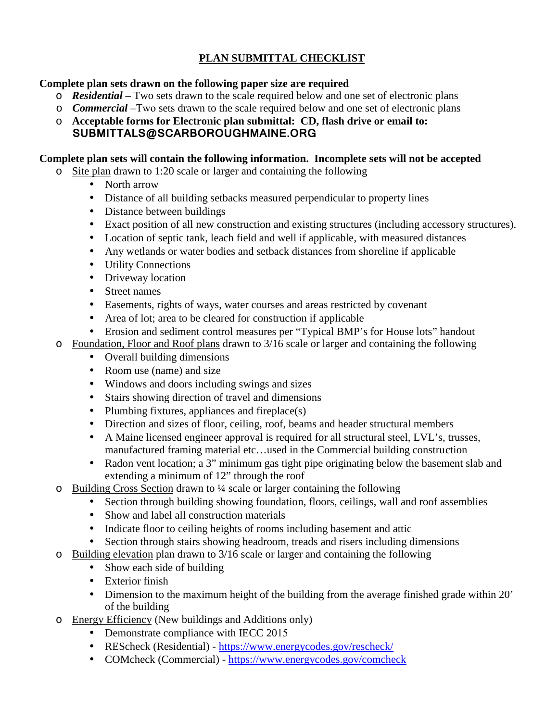### **PLAN SUBMITTAL CHECKLIST**

- **Complete plan sets drawn on the following paper size are required**<br>
o **Residential** Two sets drawn to the scale required below and one set of electronic plans **PLAN SUBMITTAL CHECKLIST**<br> **o** *Residential* − Two sets drawn to the scale required below and one set of electronic plans<br> **o** *Commercial* − Two sets drawn to the scale required below and one set of electronic plans
	-
	- o **Acceptable forms for Electronic plan submittal: CD, flash drive or email to: SUBMITTALS@SCARBOROUGHMAINE.ORG**

#### **Complete plan sets will contain the following information. Incomplete sets will not be accepted**

- o Site plan drawn to 1:20 scale or larger and containing the following
	- North arrow
	- Distance of all building setbacks measured perpendicular to property lines
	- Distance between buildings
	- Exact position of all new construction and existing structures (including accessory structures).
	- Location of septic tank, leach field and well if applicable, with measured distances
	- Any wetlands or water bodies and setback distances from shoreline if applicable
	- Utility Connections
	- Driveway location
	- Street names
	- Easements, rights of ways, water courses and areas restricted by covenant
	- Area of lot; area to be cleared for construction if applicable
	- Erosion and sediment control measures per "Typical BMP's for House lots" handout
- o Foundation, Floor and Roof plans drawn to 3/16 scale or larger and containing the following
	- Overall building dimensions
		- Room use (name) and size
		- Windows and doors including swings and sizes
		- Stairs showing direction of travel and dimensions
		- Plumbing fixtures, appliances and fireplace $(s)$
		- Direction and sizes of floor, ceiling, roof, beams and header structural members
		- A Maine licensed engineer approval is required for all structural steel, LVL's, trusses, manufactured framing material etc…used in the Commercial building construction
		- Radon vent location; a 3" minimum gas tight pipe originating below the basement slab and extending a minimum of 12" through the roof
- o Building Cross Section drawn to ¼ scale or larger containing the following
	- Section through building showing foundation, floors, ceilings, wall and roof assemblies
	- Show and label all construction materials
	- Indicate floor to ceiling heights of rooms including basement and attic
	- Section through stairs showing headroom, treads and risers including dimensions
- o Building elevation plan drawn to 3/16 scale or larger and containing the following
	- Show each side of building
	- Exterior finish
	- Dimension to the maximum height of the building from the average finished grade within 20' of the building
- o Energy Efficiency (New buildings and Additions only)
	- Demonstrate compliance with IECC 2015
	- REScheck (Residential) https://www.energycodes.gov/rescheck/
	- COMcheck (Commercial) https://www.energycodes.gov/comcheck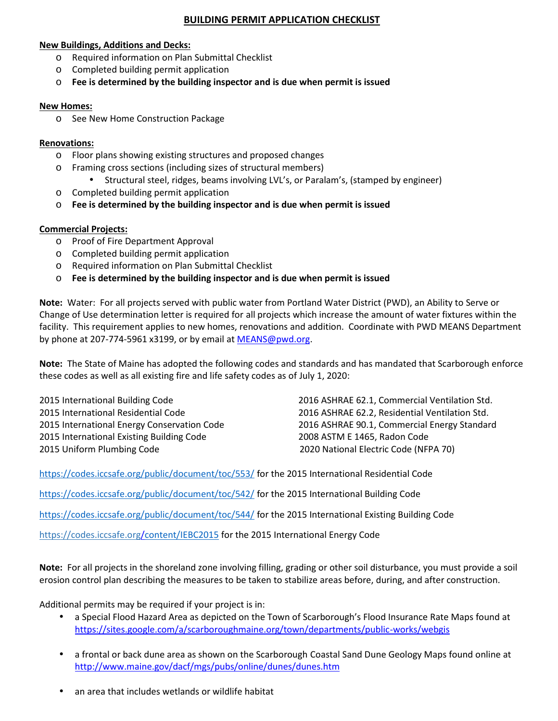#### **BUILDING PERMIT APPLICATION CHECKLIST**

#### **New Buildings, Additions and Decks:**

- o Required information on Plan Submittal Checklist
- o Completed building permit application
- o **Fee is determined by the building inspector and is due when permit is issued**

#### **New Homes:**

o See New Home Construction Package

#### **Renovations:**

- o Floor plans showing existing structures and proposed changes
- o Framing cross sections (including sizes of structural members)
	- Structural steel, ridges, beams involving LVL's, or Paralam's, (stamped by engineer)
- o Completed building permit application
- o **Fee is determined by the building inspector and is due when permit is issued**

#### **Commercial Projects:**

- o Proof of Fire Department Approval
- o Completed building permit application
- o Required information on Plan Submittal Checklist
- o **Fee is determined by the building inspector and is due when permit is issued**

**Note:** Water: For all projects served with public water from Portland Water District (PWD), an Ability to Serve or Change of Use determination letter is required for all projects which increase the amount of water fixtures within the facility. This requirement applies to new homes, renovations and addition. Coordinate with PWD MEANS Department by phone at 207-774-5961 x3199, or by email at MEANS@pwd.org. the state of Maine has adopted the following codes and standards and has m<br>these codes as well as all existing fire and life safety codes as of July 1, 2020:<br>and these codes as well as all existing fire and life safety cod

**Note:** The State of Maine has adopted the following codes and standards and has mandated that Scarborough enforce

 International Building Code International Residential Code International Energy Conservation Code International Existing Building Code 2008 ASTM E 1465, Radon Code 2015 International Building Code<br>
2015 International Residential Code<br>
2015 International Energy Conservation Code<br>
2015 International Existing Building Code<br>
2015 Uniform Plumbing Code<br>
2015 Uniform Plumbing Code<br>
2020 Na

2016 ASHRAE 62.1, Commercial Ventilation Std. standards and has mandated that Scarborough enforce<br>July 1, 2020:<br>2016 ASHRAE 62.1, Commercial Ventilation Std.<br>2016 ASHRAE 62.2, Residential Ventilation Std.<br>2016 ASHRAE 90.1, Commercial Energy Standard 2016 ASHRAE 90.1, Commercial Energy Standard

https://codes.iccsafe.org/public/document/toc/553/ for the 2015 International Residential Code

https://codes.iccsafe.org/public/document/toc/542/ for the 2015 International Building Code

https://codes.iccsafe.org/public/document/toc/544/ for the 2015 International Existing Building Code

https://codes.iccsafe.org/content/IEBC2015 for the 2015 International Energy Code

**Note:** For all projects in the shoreland zone involving filling, grading or other soil disturbance, you must provide a soil erosion control plan describing the measures to be taken to stabilize areas before, during, and after construction.

Additional permits may be required if your project is in:

- a Special Flood Hazard Area as depicted on the Town of Scarborough's Flood Insurance Rate Maps found at https://sites.google.com/a/scarboroughmaine.org/town/departments/public-works/webgis
- a frontal or back dune area as shown on the Scarborough Coastal Sand Dune Geology Maps found online at http://www.maine.gov/dacf/mgs/pubs/online/dunes/dunes.htm
- an area that includes wetlands or wildlife habitat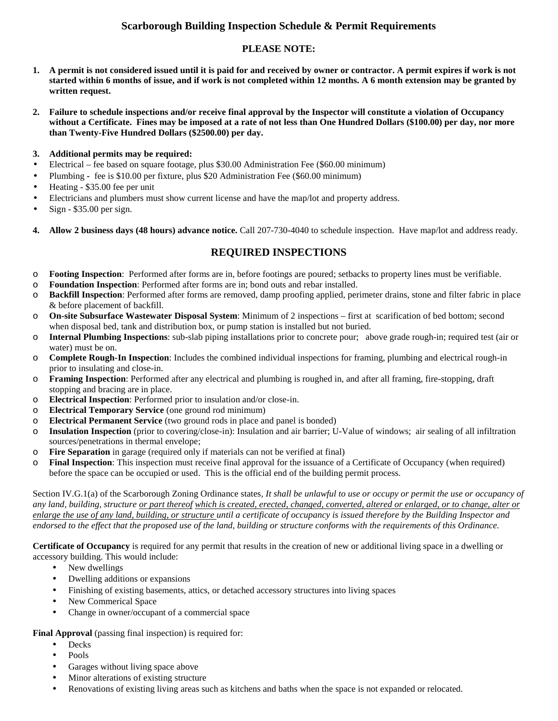#### **Scarborough Building Inspection Schedule & Permit Requirements**

#### **PLEASE NOTE:**

- **1. A permit is not considered issued until it is paid for and received by owner or contractor. A permit expires if work is not started within 6 months of issue, and if work is not completed within 12 months. A 6 month extension may be granted by written request.**
- **2. Failure to schedule inspections and/or receive final approval by the Inspector will constitute a violation of Occupancy without a Certificate. Fines may be imposed at a rate of not less than One Hundred Dollars (\$100.00) per day, nor more than Twenty-Five Hundred Dollars (\$2500.00) per day.**
- **3. Additional permits may be required:**
- Electrical fee based on square footage, plus \$30.00 Administration Fee (\$60.00 minimum)
- Plumbing **-** fee is \$10.00 per fixture, plus \$20 Administration Fee (\$60.00 minimum)
- Heating \$35.00 fee per unit
- Electricians and plumbers must show current license and have the map/lot and property address.
- Sign \$35.00 per sign.
- **4. Allow 2 business days (48 hours) advance notice.** Call 207-730-4040 to schedule inspection. Have map/lot and address ready.

#### **REQUIRED INSPECTIONS**

- o **Footing Inspection**: Performed after forms are in, before footings are poured; setbacks to property lines must be verifiable.
- o **Foundation Inspection**: Performed after forms are in; bond outs and rebar installed.
- o **Backfill Inspection**: Performed after forms are removed, damp proofing applied, perimeter drains, stone and filter fabric in place & before placement of backfill.
- o **On-site Subsurface Wastewater Disposal System**: Minimum of 2 inspections first at scarification of bed bottom; second when disposal bed, tank and distribution box, or pump station is installed but not buried.
- o **Internal Plumbing Inspections**: sub-slab piping installations prior to concrete pour; above grade rough-in; required test (air or water) must be on.
- o **Complete Rough-In Inspection**: Includes the combined individual inspections for framing, plumbing and electrical rough-in prior to insulating and close-in.
- o **Framing Inspection**: Performed after any electrical and plumbing is roughed in, and after all framing, fire-stopping, draft stopping and bracing are in place.
- o **Electrical Inspection**: Performed prior to insulation and/or close-in.
- o **Electrical Temporary Service** (one ground rod minimum)
- o **Electrical Permanent Service** (two ground rods in place and panel is bonded)
- o **Insulation Inspection** (prior to covering/close-in): Insulation and air barrier; U-Value of windows; air sealing of all infiltration sources/penetrations in thermal envelope;
- o **Fire Separation** in garage (required only if materials can not be verified at final)
- o **Final Inspection**: This inspection must receive final approval for the issuance of a Certificate of Occupancy (when required) before the space can be occupied or used. This is the official end of the building permit process.

Section IV.G.1(a) of the Scarborough Zoning Ordinance states*, It shall be unlawful to use or occupy or permit the use or occupancy of any land, building, structure or part thereof which is created, erected, changed, converted, altered or enlarged, or to change, alter or enlarge the use of any land, building, or structure until a certificate of occupancy is issued therefore by the Building Inspector and endorsed to the effect that the proposed use of the land, building or structure conforms with the requirements of this Ordinance.*

**Certificate of Occupancy** is required for any permit that results in the creation of new or additional living space in a dwelling or accessory building. This would include:

- New dwellings
- Dwelling additions or expansions
- Finishing of existing basements, attics, or detached accessory structures into living spaces
- New Commerical Space
- Change in owner/occupant of a commercial space

**Final Approval** (passing final inspection) is required for:

- Decks
- Pools
- Garages without living space above
- Minor alterations of existing structure
- Renovations of existing living areas such as kitchens and baths when the space is not expanded or relocated.